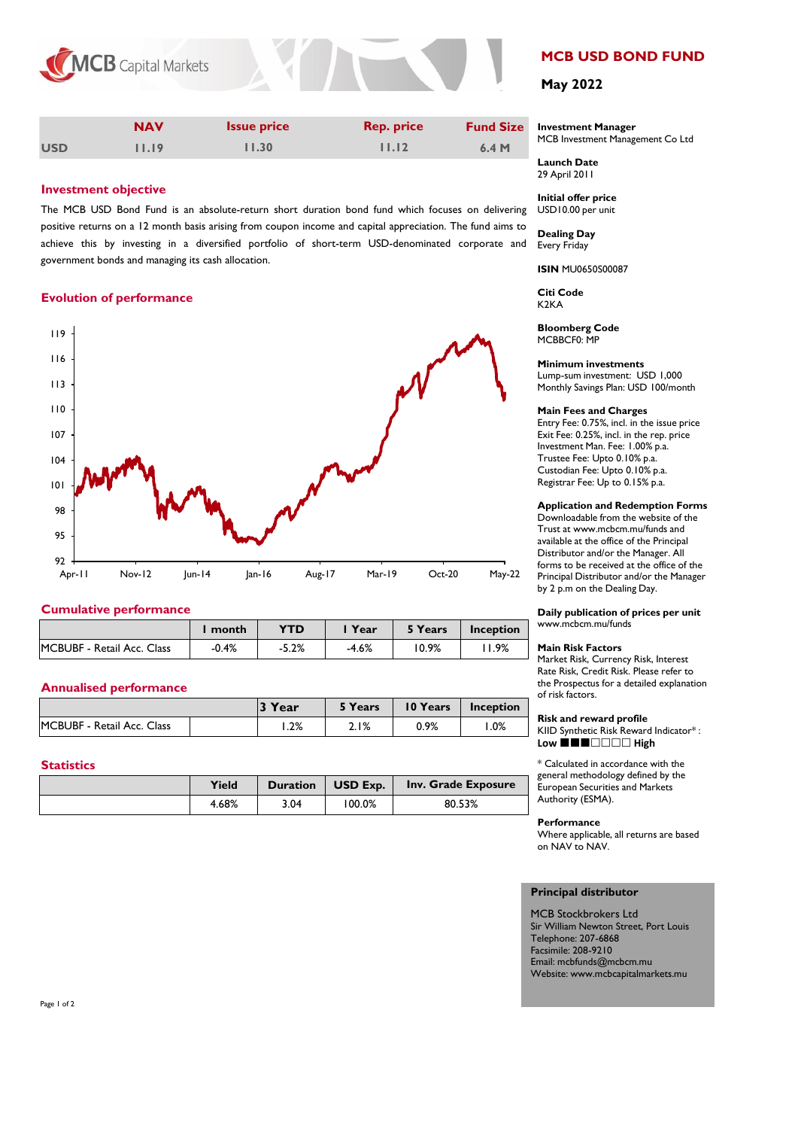



|            | <b>NAV</b> | <b>Issue price</b> | <b>Rep. price</b> | <b>Fund Size</b> |
|------------|------------|--------------------|-------------------|------------------|
| <b>USD</b> | 11.19      | 11.30              | 11.12             | 6.4M             |

# **Investment objective**

The MCB USD Bond Fund is an absolute-return short duration bond fund which focuses on delivering positive returns on a 12 month basis arising from coupon income and capital appreciation. The fund aims to achieve this by investing in a diversified portfolio of short-term USD-denominated corporate and government bonds and managing its cash allocation.

# **Evolution of performance**



# **Cumulative performance**

|                                    | month   | <b>YTD</b> | l Year  | 5 Years | Inception |
|------------------------------------|---------|------------|---------|---------|-----------|
| <b>IMCBUBF - Retail Acc. Class</b> | $-0.4%$ | $-5.2%$    | $-4.6%$ | 10.9%   | ـ 9%،     |

# **Annualised performance**

|                            | 3 Year | 5 Years | 10 Years | Inception |
|----------------------------|--------|---------|----------|-----------|
| MCBUBF - Retail Acc. Class | 1.2%   | 2.1%    | 0.9%     | .0%       |

## **Statistics**

| Yield | Duration | USD Exp. $\sqrt{ }$ | Inv. Grade Exposure |
|-------|----------|---------------------|---------------------|
| 4.68% | 3.04     | 100.0%              | 80.53%              |

# **MCB USD BOND FUND**

# **May 2022**

#### **Investment Manager**  MCB Investment Management Co Ltd

**Launch Date** 29 April 2011

**Initial offer price** USD10.00 per unit

**Dealing Day** Every Friday

**ISIN** MU0650S00087

**Citi Code**  K2KA

**Bloomberg Code** MCBBCF0: MP

### **Minimum investments**

Lump-sum investment: USD 1,000 Monthly Savings Plan: USD 100/month

## **Main Fees and Charges**

Entry Fee: 0.75%, incl. in the issue price Exit Fee: 0.25%, incl. in the rep. price Investment Man. Fee: 1.00% p.a. Trustee Fee: Upto 0.10% p.a. Custodian Fee: Upto 0.10% p.a. Registrar Fee: Up to 0.15% p.a.

## **Application and Redemption Forms**

Downloadable from the website of the Trust at www.mcbcm.mu/funds and available at the office of the Principal Distributor and/or the Manager. All forms to be received at the office of the Principal Distributor and/or the Manager by 2 p.m on the Dealing Day.

**Daily publication of prices per unit** www.mcbcm.mu/funds

#### **Main Risk Factors**

Market Risk, Currency Risk, Interest Rate Risk, Credit Risk. Please refer to the Prospectus for a detailed explanation of risk factors.

# **Risk and reward profile**

KIID Synthetic Risk Reward Indicator\* : **Low** ■■■□□□□ High

\* Calculated in accordance with the general methodology defined by the European Securities and Markets Authority (ESMA).

### **Performance**

Where applicable, all returns are based on NAV to NAV.

## **Principal distributor**

MCB Stockbrokers Ltd Sir William Newton Street, Port Louis Telephone: 207-6868 Facsimile: 208-9210 Email: mcbfunds@mcbcm.mu Website: www.mcbcapitalmarkets.mu